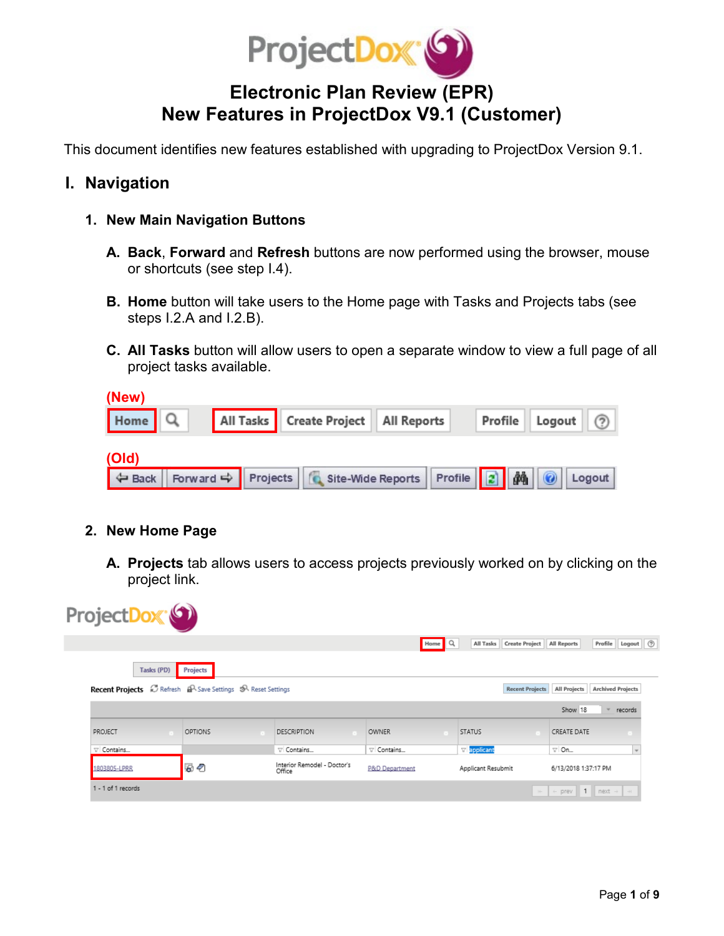

# **Electronic Plan Review (EPR) New Features in ProjectDox V9.1 (Customer)**

This document identifies new features established with upgrading to ProjectDox Version 9.1.

## **I. Navigation**

- **1. New Main Navigation Buttons**
	- **A. Back**, **Forward** and **Refresh** buttons are now performed using the browser, mouse or shortcuts (see step I.4).
	- **B. Home** button will take users to the Home page with Tasks and Projects tabs (see steps I.2.A and I.2.B).
	- **C. All Tasks** button will allow users to open a separate window to view a full page of all project tasks available.

| (New)                                                                             |                                          |  |                    |  |
|-----------------------------------------------------------------------------------|------------------------------------------|--|--------------------|--|
| Home Q                                                                            | All Tasks   Create Project   All Reports |  | Profile Logout (?) |  |
| (Old)                                                                             |                                          |  |                    |  |
| → Back   Forward → Projects   G Site-Wide Reports   Profile   2   44   ©   Logout |                                          |  |                    |  |

#### **2. New Home Page**

**A. Projects** tab allows users to access projects previously worked on by clicking on the project link.

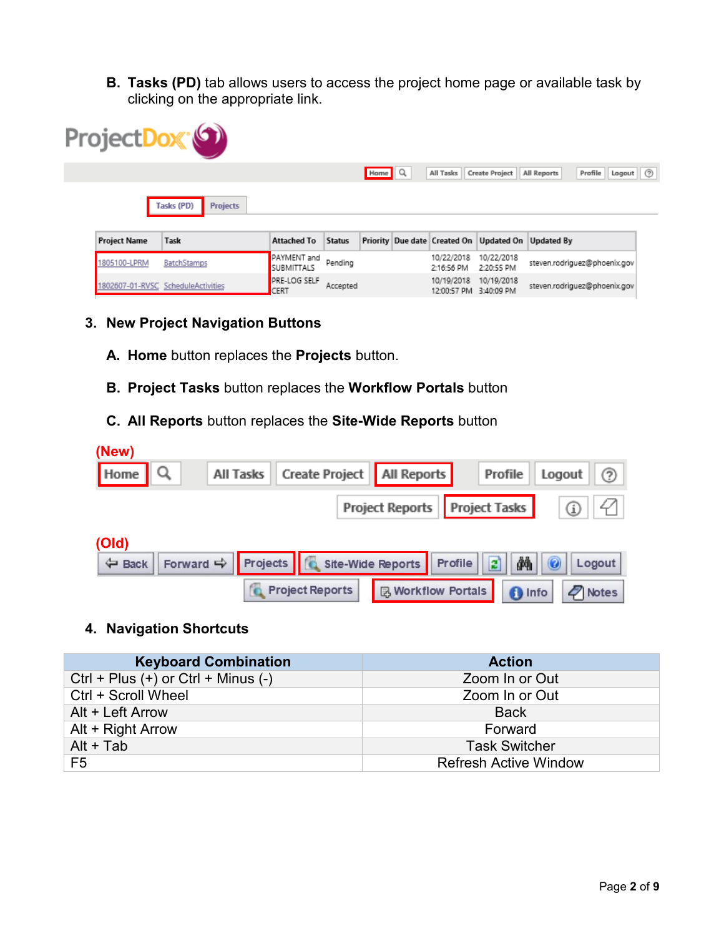**B. Tasks (PD)** tab allows users to access the project home page or available task by clicking on the appropriate link.

|                     | ProjectDox <sup>®</sup>            |                                  |               |        |                           |                                                            |                                            |
|---------------------|------------------------------------|----------------------------------|---------------|--------|---------------------------|------------------------------------------------------------|--------------------------------------------|
|                     |                                    |                                  |               | Home Q | All Tasks                 | <b>Create Project</b>                                      | Logout $\oslash$<br>All Reports<br>Profile |
|                     | Tasks (PD)<br><b>Projects</b>      |                                  |               |        |                           |                                                            |                                            |
| <b>Project Name</b> | Task                               | <b>Attached To</b>               | <b>Status</b> |        |                           | Priority   Due date   Created On   Updated On   Updated By |                                            |
| 1805100-LPRM        | <b>BatchStamps</b>                 | PAYMENT and<br><b>SUBMITTALS</b> | Pending       |        | 10/22/2018<br>2:16:56 PM  | 10/22/2018<br>2:20:55 PM                                   | steven.rodriguez@phoenix.gov               |
|                     | 1802607-01-RVSC ScheduleActivities | PRE-LOG SELF<br>CERT             | Accepted      |        | 10/19/2018<br>12:00:57 PM | 10/19/2018<br>3:40:09 PM                                   | steven.rodriguez@phoenix.gov               |

#### **3. New Project Navigation Buttons**

- **A. Home** button replaces the **Projects** button.
- **B. Project Tasks** button replaces the **Workflow Portals** button
- **C. All Reports** button replaces the **Site-Wide Reports** button

| (New)                          |                                                         |                                 |                                  |                       |
|--------------------------------|---------------------------------------------------------|---------------------------------|----------------------------------|-----------------------|
| Home $\vert \mathcal{Q} \vert$ | All Tasks                                               | Create Project   All Reports    | Profile                          | $\circledR$<br>Logout |
|                                |                                                         | Project Reports   Project Tasks |                                  |                       |
| (Old)                          |                                                         |                                 |                                  |                       |
| ← Back                         | Projects   C Site-Wide Reports<br>Forward $\Rightarrow$ |                                 | đА<br>$\vert z \vert$<br>Profile | $\odot$<br>Logout     |
|                                | <b>Project Reports</b>                                  | <b>B</b> Workflow Portals       | <b>f</b> Info                    | $\mathbb{Z}$ Notes    |

#### **4. Navigation Shortcuts**

| <b>Keyboard Combination</b>             | <b>Action</b>                |
|-----------------------------------------|------------------------------|
| $Ctrl + Plus (+)$ or $Ctrl + Minus (-)$ | Zoom In or Out               |
| Ctrl + Scroll Wheel                     | Zoom In or Out               |
| Alt + Left Arrow                        | <b>Back</b>                  |
| Alt + Right Arrow                       | Forward                      |
| $Alt + Tab$                             | <b>Task Switcher</b>         |
| F <sub>5</sub>                          | <b>Refresh Active Window</b> |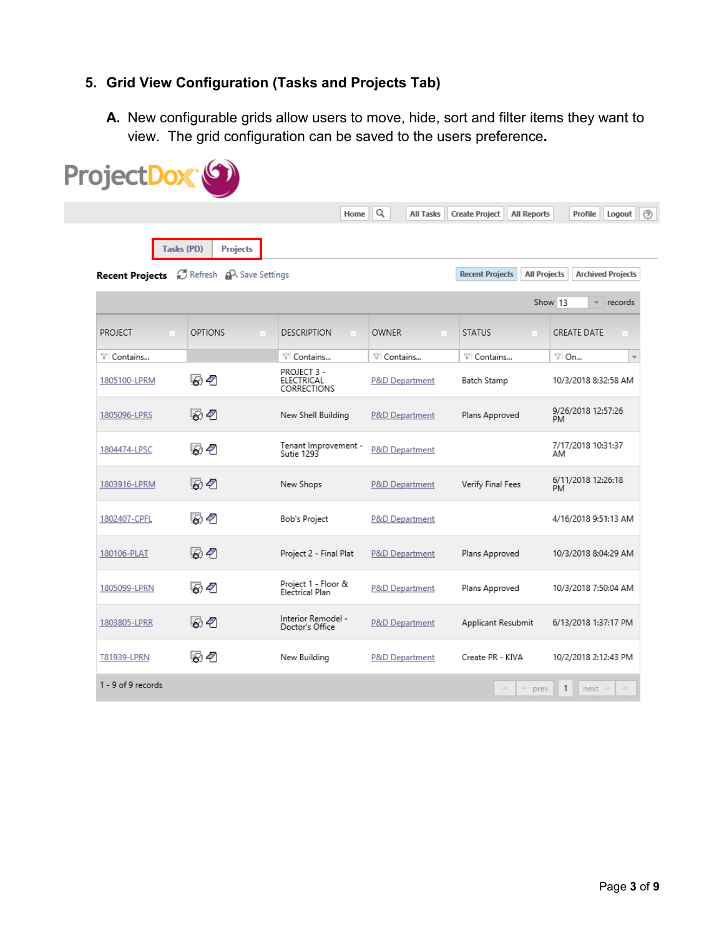## **5. Grid View Configuration (Tasks and Projects Tab)**

**A.** New configurable grids allow users to move, hide, sort and filter items they want to view. The grid configuration can be saved to the users preference**.**

|                        |                                    | Home                                     | Q<br>All Tasks       | <b>Create Project</b><br><b>All Reports</b>   | Profile<br>Logout                           |
|------------------------|------------------------------------|------------------------------------------|----------------------|-----------------------------------------------|---------------------------------------------|
|                        | Tasks (PD)<br><b>Projects</b>      |                                          |                      |                                               |                                             |
| <b>Recent Projects</b> | <b>EX Refresh AR</b> Save Settings |                                          |                      | <b>Recent Projects</b><br><b>All Projects</b> | <b>Archived Projects</b>                    |
|                        |                                    |                                          |                      |                                               | Show 13<br>$\overline{\phantom{a}}$ records |
| PROJECT                | <b>OPTIONS</b>                     | <b>DESCRIPTION</b><br>m                  | <b>OWNER</b><br>- 93 | <b>STATUS</b>                                 | <b>CREATE DATE</b><br>a ser                 |
| ▽ Contains             |                                    | ▽ Contains                               | ▽ Contains           | ▽ Contains                                    | ⊽l On<br>$\overline{\mathbf{v}}$            |
| 1805100-LPRM           | 52                                 | PROJECT 3 -<br>ELECTRICAL<br>CORRECTIONS | P&D Department       | Batch Stamp                                   | 10/3/2018 8:32:58 AM                        |
| 1805096-LPRS           | 52                                 | New Shell Building                       | P&D Department       | Plans Approved                                | 9/26/2018 12:57:26<br>PM                    |
| 1804474-LPSC           | 52                                 | Tenant Improvement -<br>Sutie 1293       | P&D Department       |                                               | 7/17/2018 10:31:37<br>AM                    |
| 1803916-LPRM           | 52                                 | New Shops                                | P&D Department       | Verify Final Fees                             | 6/11/2018 12:26:18<br>PM.                   |
| 1802407-CPFL           | 52                                 | Bob's Project                            | P&D Department       |                                               | 4/16/2018 9:51:13 AM                        |
| 180106-PLAT            | あそ                                 | Project 2 - Final Plat                   | P&D Department       | Plans Approved                                | 10/3/2018 8:04:29 AM                        |
| 1805099-LPRN           | 52                                 | Project 1 - Floor &<br>Electrical Plan   | P&D Department       | Plans Approved                                | 10/3/2018 7:50:04 AM                        |
| 1803805-LPRR           | 52                                 | Interior Remodel -<br>Doctor's Office    | P&D Department       | Applicant Resubmit                            | 6/13/2018 1:37:17 PM                        |
| T81939-LPRN            | 52                                 | New Building                             | P&D Department       | Create PR - KIVA                              | 10/2/2018 2:12:43 PM                        |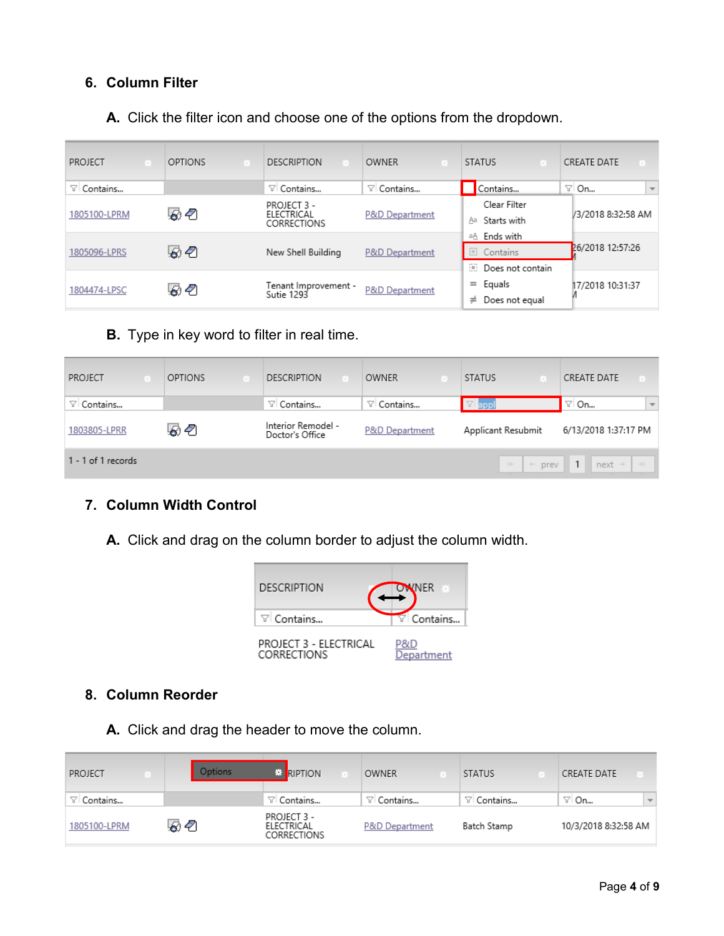### **6. Column Filter**

**A.** Click the filter icon and choose one of the options from the dropdown.

| PROJECT           | OPTIONS | <b>DESCRIPTION</b><br>- 13               | OWNER<br>- 10     | <b>STATUS</b>                                        | CREATE DATE<br>$\mathbf{E}$       |
|-------------------|---------|------------------------------------------|-------------------|------------------------------------------------------|-----------------------------------|
| $\nabla$ Contains |         | $\nabla$ Contains                        | $\nabla$ Contains | Contains                                             | ⊽l On<br>$\overline{\phantom{a}}$ |
| 1805100-LPRM      | 52      | PROJECT 3 -<br>ELECTRICAL<br>CORRECTIONS | P&D Department    | Clear Filter<br>Starts with<br>Aa                    | /3/2018 8:32:58 AM                |
| 1805096-LPRS      | 52      | New Shell Building                       | P&D Department    | Ends with<br>аA<br>Contains<br>æ<br>Does not contain | 26/2018 12:57:26                  |
| 1804474-LPSC      | 52      | Tenant Improvement -<br>Sutie 1293       | P&D Department    | Equals<br>$=$<br>Does not equal<br>≠                 | 17/2018 10:31:37                  |

**B.** Type in key word to filter in real time.

| PROJECT                  | - 11 | <b>OPTIONS</b> | <b>DESCRIPTION</b>                    | OWNER             | <b>STATUS</b>      | <b>CREATE DATE</b><br>- 83                           |
|--------------------------|------|----------------|---------------------------------------|-------------------|--------------------|------------------------------------------------------|
| $\triangledown$ Contains |      |                | ▽ Contains                            | $\nabla$ Contains | appl               | $\overline{\nabla}$<br>∵ On                          |
| 1803805-LPRR             |      | 52             | Interior Remodel -<br>Doctor's Office | P&D Department    | Applicant Resubmit | 6/13/2018 1:37:17 PM                                 |
| 1 - 1 of 1 records       |      |                |                                       |                   | $\rightarrow$      | $\div$ prev   1   next $\rightarrow$   $\rightarrow$ |

### **7. Column Width Control**

**A.** Click and drag on the column border to adjust the column width.



### **8. Column Reorder**

**A.** Click and drag the header to move the column.

| PROJECT<br>養 | Options        | <b>E</b> RIPTION                         | OWNER          | <b>STATUS</b> | CREATE DATE                     |
|--------------|----------------|------------------------------------------|----------------|---------------|---------------------------------|
| Contains     |                | ▽ Contains                               | ▽I Contains    | ▽ Contains    | ⊡ On<br>$\overline{\mathbf{v}}$ |
| 1805100-LPRM | ි <sup>ව</sup> | PROJECT 3 -<br>ELECTRICAL<br>CORRECTIONS | P&D Department | Batch Stamp   | 10/3/2018 8:32:58 AM            |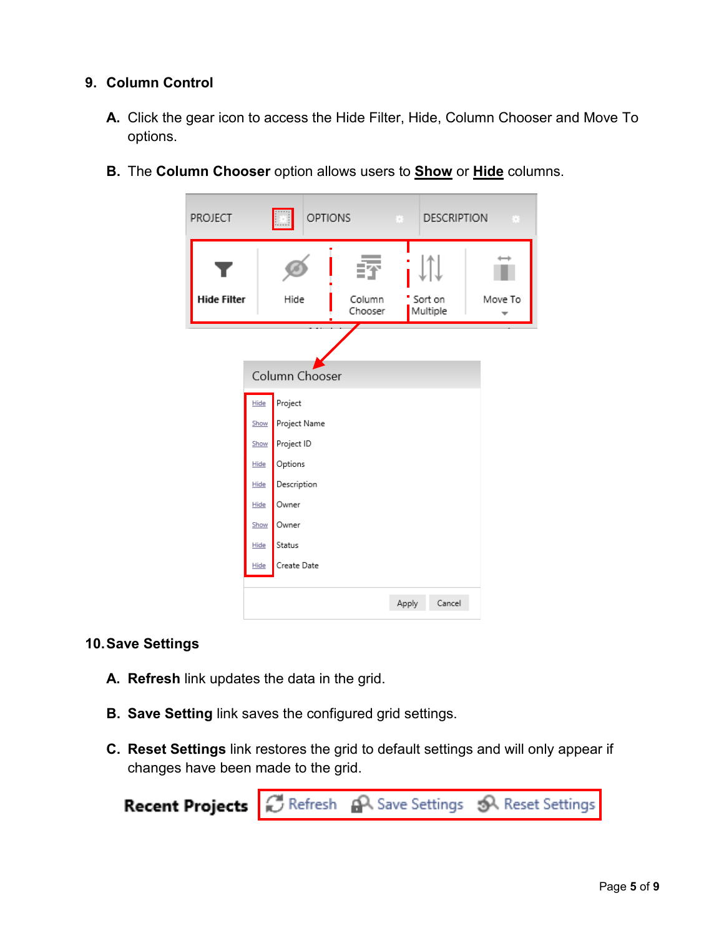#### **9. Column Control**

- **A.** Click the gear icon to access the Hide Filter, Hide, Column Chooser and Move To options.
	- PROJECT **OPTIONS DESCRIPTION**  $\overline{\phantom{a}}$ ٠ **Hide Filter** Hide Column Sort on Move To Multiple Chooser  $\overline{\phantom{a}}$ Column Chooser Hide Project Project Name Show Project ID Show Hide Options Description Hide Hide Owner Show Owner Status Hide Create Date Hide Apply Cancel
- **B.** The **Column Chooser** option allows users to **Show** or **Hide** columns.

#### **10.Save Settings**

- **A. Refresh** link updates the data in the grid.
- **B. Save Setting** link saves the configured grid settings.
- **C. Reset Settings** link restores the grid to default settings and will only appear if changes have been made to the grid.

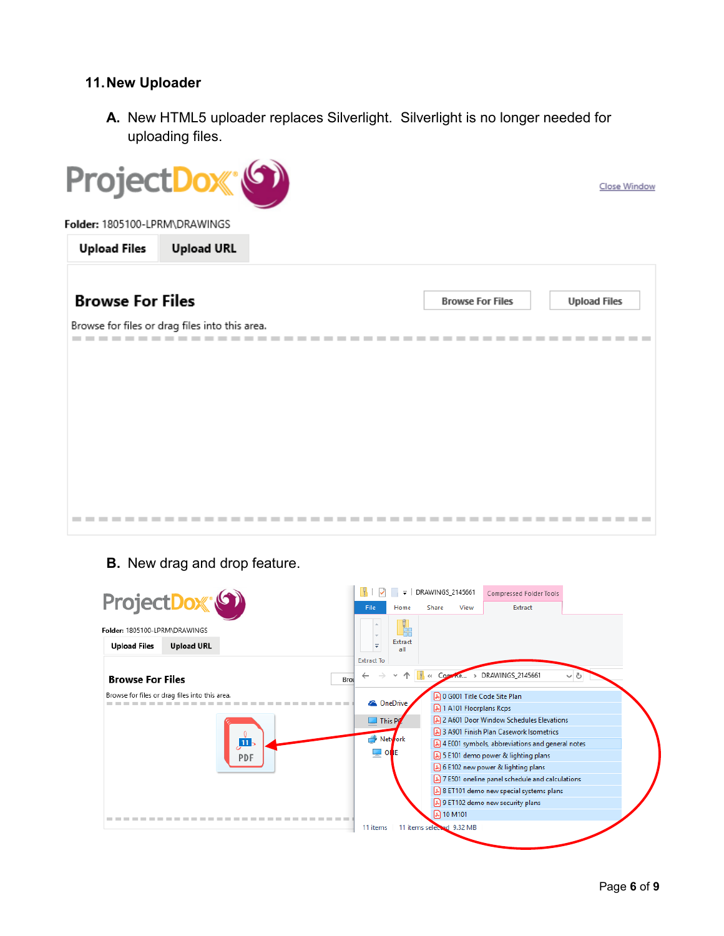#### **11.New Uploader**

**A.** New HTML5 uploader replaces Silverlight. Silverlight is no longer needed for uploading files.



#### **B.** New drag and drop feature.

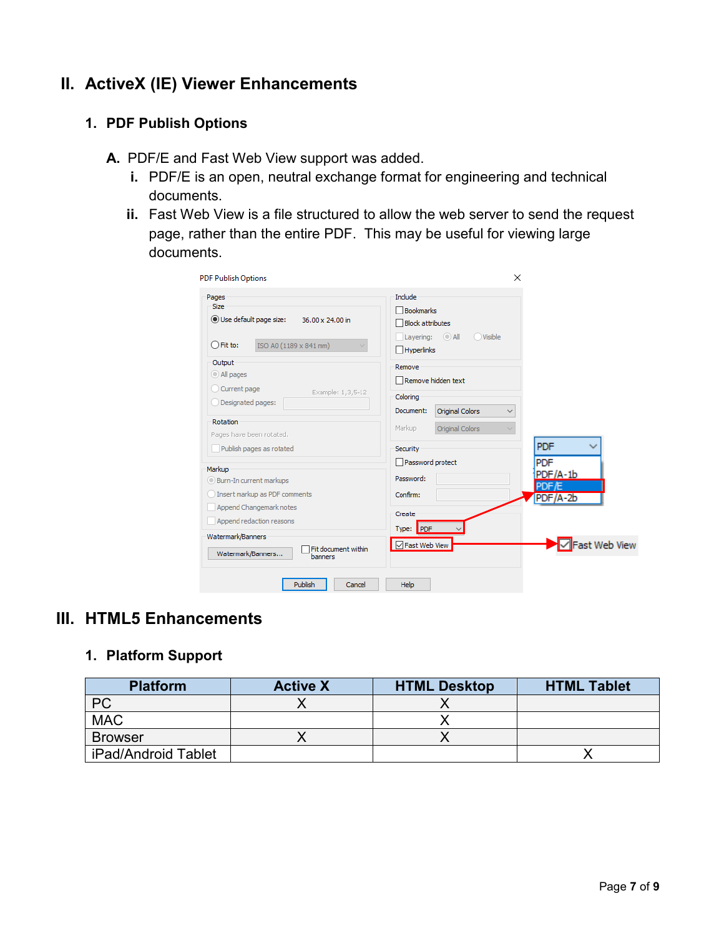## **II. ActiveX (IE) Viewer Enhancements**

#### **1. PDF Publish Options**

- **A.** PDF/E and Fast Web View support was added.
	- **i.** PDF/E is an open, neutral exchange format for engineering and technical documents.
	- **ii.** Fast Web View is a file structured to allow the web server to send the request page, rather than the entire PDF. This may be useful for viewing large documents.

| <b>PDF Publish Options</b><br>Pages                          | Include                                      |                   |
|--------------------------------------------------------------|----------------------------------------------|-------------------|
| <b>Size</b>                                                  | Bookmarks                                    |                   |
| Use default page size:<br>36.00 x 24.00 in                   | <b>Block attributes</b>                      |                   |
|                                                              | $\odot$ All<br>O Visible                     |                   |
| $\bigcirc$ Fit to:<br>ISO A0 (1189 x 841 mm)<br>$\checkmark$ | Layering:<br>Hyperlinks                      |                   |
| Output                                                       | Remove                                       |                   |
| All pages                                                    | Remove hidden text                           |                   |
| Current page<br>Example: 1,3,5-12                            | Coloring                                     |                   |
| Designated pages:                                            | Original Colors<br>Document:<br>$\checkmark$ |                   |
| Rotation                                                     | Markup<br>Original Colors<br>$\checkmark$    |                   |
| Pages have been rotated.                                     |                                              |                   |
| Publish pages as rotated                                     | Security                                     | PDF               |
| Markup                                                       | Password protect                             | <b>PDF</b>        |
| Burn-In current markups                                      | Password:                                    | PDF/A-1b<br>PDF/E |
| Insert markup as PDF comments                                | Confirm:                                     | $PDF/A - 2b$      |
| Append Changemark notes                                      | Create                                       |                   |
| Append redaction reasons                                     |                                              |                   |
| Watermark/Banners                                            | Type: PDF                                    |                   |
| Fit document within<br>Watermark/Banners<br>banners          | □ Fast Web View                              | ▽ Fast Web View   |
|                                                              |                                              |                   |
| Publish<br>Cancel                                            | Help                                         |                   |

## **III. HTML5 Enhancements**

### **1. Platform Support**

| <b>Platform</b>     | <b>Active X</b> | <b>HTML Desktop</b> | <b>HTML Tablet</b> |
|---------------------|-----------------|---------------------|--------------------|
| <b>PC</b>           |                 |                     |                    |
| <b>MAC</b>          |                 |                     |                    |
| <b>Browser</b>      |                 |                     |                    |
| iPad/Android Tablet |                 |                     |                    |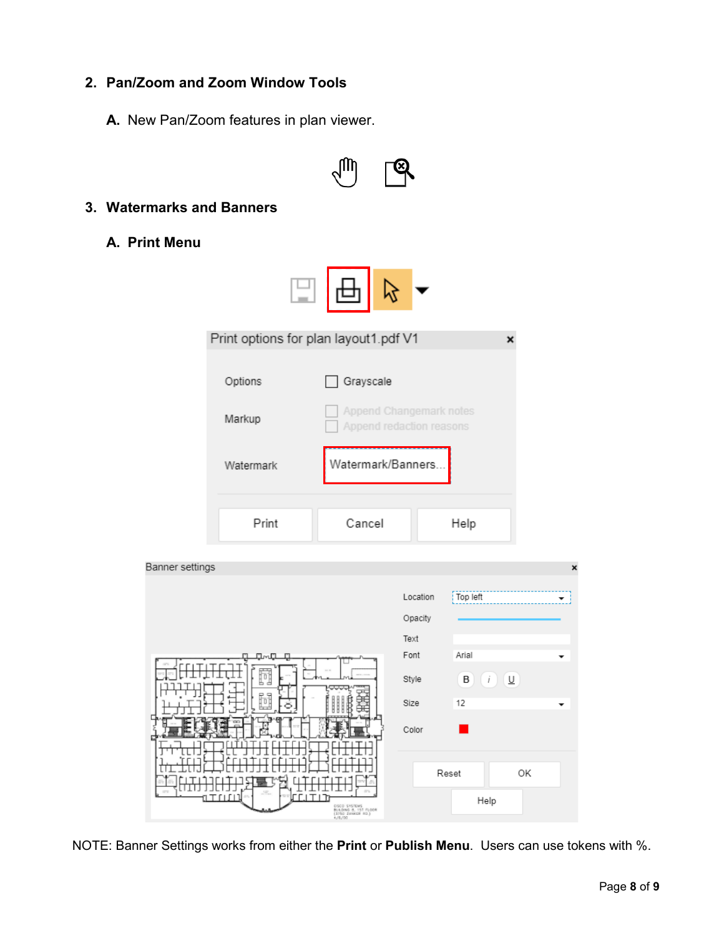## **2. Pan/Zoom and Zoom Window Tools**

**A.** New Pan/Zoom features in plan viewer.



#### **3. Watermarks and Banners**

**A. Print Menu**

|                 | Print options for plan layout1.pdf V1 |                                                                            |                             | ×                                                 |  |
|-----------------|---------------------------------------|----------------------------------------------------------------------------|-----------------------------|---------------------------------------------------|--|
|                 | Options<br>Markup                     | Grayscale<br>Append Changemark notes<br>Append redaction reasons           |                             |                                                   |  |
|                 | Watermark                             | Watermark/Banners                                                          |                             |                                                   |  |
|                 | Print                                 | Cancel                                                                     |                             | Help                                              |  |
| Banner settings |                                       |                                                                            |                             | $\mathbf x$                                       |  |
|                 |                                       |                                                                            | Location<br>Opacity<br>Text | Top left                                          |  |
|                 | ٠г٦<br>п                              |                                                                            | Font                        | Arial                                             |  |
|                 | Ţō                                    |                                                                            | Style<br>Size               | $\mathbf{B}$ $(i)$ $\underline{\mathbf{U}}$<br>12 |  |
|                 |                                       |                                                                            | Color                       |                                                   |  |
|                 | ۲ ۱ ۱ ۱ ۱<br>гг                       | ١T<br>OSCO SYSTEMS<br>BUILDING 8, 1ST FLOOR<br>(3750 ZANKER RD.)<br>4/6/00 |                             | Reset<br>OK<br>Help                               |  |

NOTE: Banner Settings works from either the **Print** or **Publish Menu**. Users can use tokens with %.